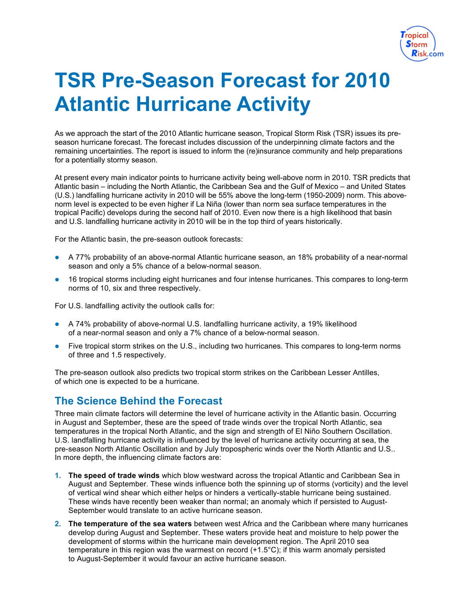

## **TSR Pre-Season Forecast for 2010 Atlantic Hurricane Activity**

As we approach the start of the 2010 Atlantic hurricane season, Tropical Storm Risk (TSR) issues its preseason hurricane forecast. The forecast includes discussion of the underpinning climate factors and the remaining uncertainties. The report is issued to inform the (re)insurance community and help preparations for a potentially stormy season.

At present every main indicator points to hurricane activity being well-above norm in 2010. TSR predicts that Atlantic basin – including the North Atlantic, the Caribbean Sea and the Gulf of Mexico – and United States (U.S.) landfalling hurricane activity in 2010 will be 55% above the long-term (1950-2009) norm. This abovenorm level is expected to be even higher if La Niña (lower than norm sea surface temperatures in the tropical Pacific) develops during the second half of 2010. Even now there is a high likelihood that basin and U.S. landfalling hurricane activity in 2010 will be in the top third of years historically.

For the Atlantic basin, the pre-season outlook forecasts:

- A 77% probability of an above-normal Atlantic hurricane season, an 18% probability of a near-normal season and only a 5% chance of a below-normal season.
- 16 tropical storms including eight hurricanes and four intense hurricanes. This compares to long-term norms of 10, six and three respectively.

For U.S. landfalling activity the outlook calls for:

- A 74% probability of above-normal U.S. landfalling hurricane activity, a 19% likelihood of a near-normal season and only a 7% chance of a below-normal season.
- Five tropical storm strikes on the U.S., including two hurricanes. This compares to long-term norms of three and 1.5 respectively.

The pre-season outlook also predicts two tropical storm strikes on the Caribbean Lesser Antilles, of which one is expected to be a hurricane.

## **The Science Behind the Forecast**

Three main climate factors will determine the level of hurricane activity in the Atlantic basin. Occurring in August and September, these are the speed of trade winds over the tropical North Atlantic, sea temperatures in the tropical North Atlantic, and the sign and strength of El Niño Southern Oscillation. U.S. landfalling hurricane activity is influenced by the level of hurricane activity occurring at sea, the pre-season North Atlantic Oscillation and by July tropospheric winds over the North Atlantic and U.S.. In more depth, the influencing climate factors are:

- **1. The speed of trade winds** which blow westward across the tropical Atlantic and Caribbean Sea in August and September. These winds influence both the spinning up of storms (vorticity) and the level of vertical wind shear which either helps or hinders a vertically-stable hurricane being sustained. These winds have recently been weaker than normal; an anomaly which if persisted to August-September would translate to an active hurricane season.
- **2. The temperature of the sea waters** between west Africa and the Caribbean where many hurricanes develop during August and September. These waters provide heat and moisture to help power the development of storms within the hurricane main development region. The April 2010 sea temperature in this region was the warmest on record  $(+1.5^{\circ}C)$ ; if this warm anomaly persisted to August-September it would favour an active hurricane season.